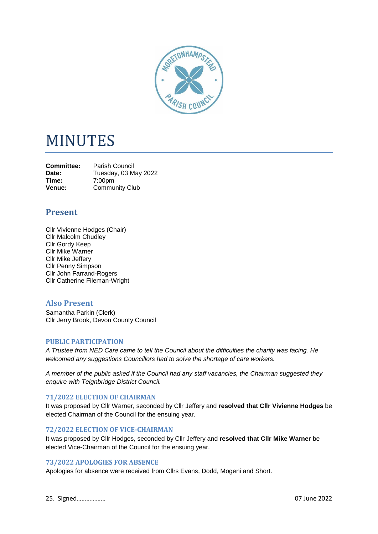

# MINUTES

**Committee:** Parish Council<br>Date: Tuesday 03 M **Date:** Tuesday, 03 May 2022<br> **Time:** 7:00pm **Time:** 7:00pm **Venue:** Community Club

# **Present**

Cllr Vivienne Hodges (Chair) Cllr Malcolm Chudley Cllr Gordy Keep Cllr Mike Warner Cllr Mike Jeffery Cllr Penny Simpson Cllr John Farrand-Rogers Cllr Catherine Fileman-Wright

## **Also Present**

Samantha Parkin (Clerk) Cllr Jerry Brook, Devon County Council

#### **PUBLIC PARTICIPATION**

*A Trustee from NED Care came to tell the Council about the difficulties the charity was facing. He welcomed any suggestions Councillors had to solve the shortage of care workers.*

*A member of the public asked if the Council had any staff vacancies, the Chairman suggested they enquire with Teignbridge District Council.*

#### **71/2022 ELECTION OF CHAIRMAN**

It was proposed by Cllr Warner, seconded by Cllr Jeffery and **resolved that Cllr Vivienne Hodges** be elected Chairman of the Council for the ensuing year.

#### **72/2022 ELECTION OF VICE-CHAIRMAN**

It was proposed by Cllr Hodges, seconded by Cllr Jeffery and **resolved that Cllr Mike Warner** be elected Vice-Chairman of the Council for the ensuing year.

#### **73/2022 APOLOGIES FOR ABSENCE**

Apologies for absence were received from Cllrs Evans, Dodd, Mogeni and Short.

25. Signed……………… 07 June 2022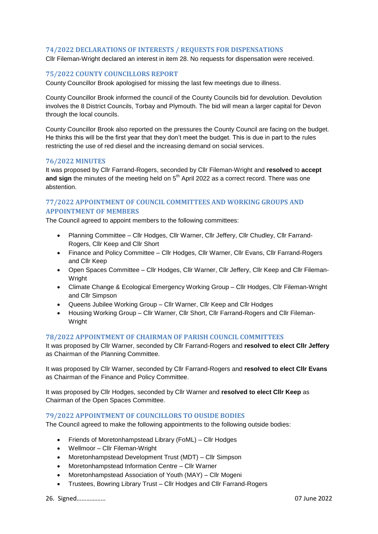#### **74/2022 DECLARATIONS OF INTERESTS / REQUESTS FOR DISPENSATIONS**

Cllr Fileman-Wright declared an interest in item 28. No requests for dispensation were received.

#### **75/2022 COUNTY COUNCILLORS REPORT**

County Councillor Brook apologised for missing the last few meetings due to illness.

County Councillor Brook informed the council of the County Councils bid for devolution. Devolution involves the 8 District Councils, Torbay and Plymouth. The bid will mean a larger capital for Devon through the local councils.

County Councillor Brook also reported on the pressures the County Council are facing on the budget. He thinks this will be the first year that they don't meet the budget. This is due in part to the rules restricting the use of red diesel and the increasing demand on social services.

#### **76/2022 MINUTES**

It was proposed by Cllr Farrand-Rogers, seconded by Cllr Fileman-Wright and **resolved** to **accept**  and sign the minutes of the meeting held on 5<sup>th</sup> April 2022 as a correct record. There was one abstention.

### **77/2022 APPOINTMENT OF COUNCIL COMMITTEES AND WORKING GROUPS AND APPOINTMENT OF MEMBERS**

The Council agreed to appoint members to the following committees:

- Planning Committee Cllr Hodges, Cllr Warner, Cllr Jeffery, Cllr Chudley, Cllr Farrand-Rogers, Cllr Keep and Cllr Short
- Finance and Policy Committee Cllr Hodges, Cllr Warner, Cllr Evans, Cllr Farrand-Rogers and Cllr Keep
- Open Spaces Committee Cllr Hodges, Cllr Warner, Cllr Jeffery, Cllr Keep and Cllr Fileman-Wright
- Climate Change & Ecological Emergency Working Group Cllr Hodges, Cllr Fileman-Wright and Cllr Simpson
- Queens Jubilee Working Group Cllr Warner, Cllr Keep and Cllr Hodges
- Housing Working Group Cllr Warner, Cllr Short, Cllr Farrand-Rogers and Cllr Fileman-Wright

#### **78/2022 APPOINTMENT OF CHAIRMAN OF PARISH COUNCIL COMMITTEES**

It was proposed by Cllr Warner, seconded by Cllr Farrand-Rogers and **resolved to elect Cllr Jeffery** as Chairman of the Planning Committee.

It was proposed by Cllr Warner, seconded by Cllr Farrand-Rogers and **resolved to elect Cllr Evans** as Chairman of the Finance and Policy Committee.

It was proposed by Cllr Hodges, seconded by Cllr Warner and **resolved to elect Cllr Keep** as Chairman of the Open Spaces Committee.

#### **79/2022 APPOINTMENT OF COUNCILLORS TO OUSIDE BODIES**

The Council agreed to make the following appointments to the following outside bodies:

- Friends of Moretonhampstead Library (FoML) Cllr Hodges
- Wellmoor Cllr Fileman-Wright
- Moretonhampstead Development Trust (MDT) Cllr Simpson
- Moretonhampstead Information Centre Cllr Warner
- Moretonhampstead Association of Youth (MAY) Cllr Mogeni
- Trustees, Bowring Library Trust Cllr Hodges and Cllr Farrand-Rogers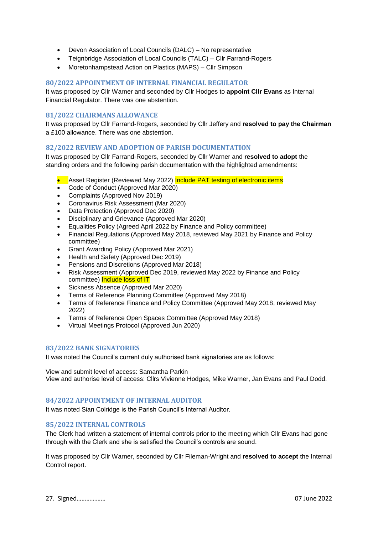- Devon Association of Local Councils (DALC) No representative
- Teignbridge Association of Local Councils (TALC) Cllr Farrand-Rogers
- Moretonhampstead Action on Plastics (MAPS) Cllr Simpson

#### **80/2022 APPOINTMENT OF INTERNAL FINANCIAL REGULATOR**

It was proposed by Cllr Warner and seconded by Cllr Hodges to **appoint Cllr Evans** as Internal Financial Regulator. There was one abstention.

#### **81/2022 CHAIRMANS ALLOWANCE**

It was proposed by Cllr Farrand-Rogers, seconded by Cllr Jeffery and **resolved to pay the Chairman** a £100 allowance. There was one abstention.

#### **82/2022 REVIEW AND ADOPTION OF PARISH DOCUMENTATION**

It was proposed by Cllr Farrand-Rogers, seconded by Cllr Warner and **resolved to adopt** the standing orders and the following parish documentation with the highlighted amendments:

- Asset Register (Reviewed May 2022) Include PAT testing of electronic items
- Code of Conduct (Approved Mar 2020)
- Complaints (Approved Nov 2019)
- Coronavirus Risk Assessment (Mar 2020)
- Data Protection (Approved Dec 2020)
- Disciplinary and Grievance (Approved Mar 2020)
- Equalities Policy (Agreed April 2022 by Finance and Policy committee)
- Financial Regulations (Approved May 2018, reviewed May 2021 by Finance and Policy committee)
- Grant Awarding Policy (Approved Mar 2021)
- Health and Safety (Approved Dec 2019)
- Pensions and Discretions (Approved Mar 2018)
- Risk Assessment (Approved Dec 2019, reviewed May 2022 by Finance and Policy committee) Include loss of IT
- Sickness Absence (Approved Mar 2020)
- Terms of Reference Planning Committee (Approved May 2018)
- Terms of Reference Finance and Policy Committee (Approved May 2018, reviewed May 2022)
- Terms of Reference Open Spaces Committee (Approved May 2018)
- Virtual Meetings Protocol (Approved Jun 2020)

#### **83/2022 BANK SIGNATORIES**

It was noted the Council's current duly authorised bank signatories are as follows:

View and submit level of access: Samantha Parkin View and authorise level of access: Cllrs Vivienne Hodges, Mike Warner, Jan Evans and Paul Dodd.

#### **84/2022 APPOINTMENT OF INTERNAL AUDITOR**

It was noted Sian Colridge is the Parish Council's Internal Auditor.

#### **85/2022 INTERNAL CONTROLS**

The Clerk had written a statement of internal controls prior to the meeting which Cllr Evans had gone through with the Clerk and she is satisfied the Council's controls are sound.

It was proposed by Cllr Warner, seconded by Cllr Fileman-Wright and **resolved to accept** the Internal Control report.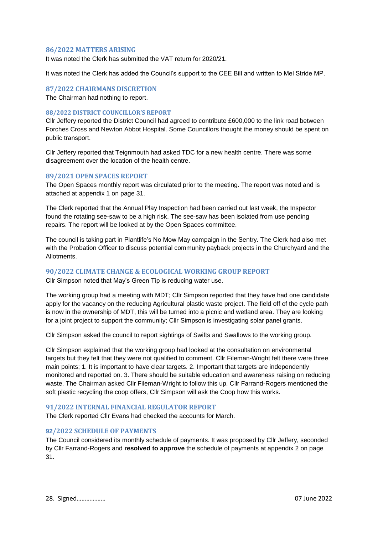#### **86/2022 MATTERS ARISING**

It was noted the Clerk has submitted the VAT return for 2020/21.

It was noted the Clerk has added the Council's support to the CEE Bill and written to Mel Stride MP.

#### **87/2022 CHAIRMANS DISCRETION**

The Chairman had nothing to report.

#### **88/2022 DISTRICT COUNCILLOR'S REPORT**

Cllr Jeffery reported the District Council had agreed to contribute £600,000 to the link road between Forches Cross and Newton Abbot Hospital. Some Councillors thought the money should be spent on public transport.

Cllr Jeffery reported that Teignmouth had asked TDC for a new health centre. There was some disagreement over the location of the health centre.

#### **89/2021 OPEN SPACES REPORT**

The Open Spaces monthly report was circulated prior to the meeting. The report was noted and is attached at appendix 1 on page 31.

The Clerk reported that the Annual Play Inspection had been carried out last week, the Inspector found the rotating see-saw to be a high risk. The see-saw has been isolated from use pending repairs. The report will be looked at by the Open Spaces committee.

The council is taking part in Plantlife's No Mow May campaign in the Sentry. The Clerk had also met with the Probation Officer to discuss potential community payback projects in the Churchyard and the Allotments.

#### **90/2022 CLIMATE CHANGE & ECOLOGICAL WORKING GROUP REPORT**

Cllr Simpson noted that May's Green Tip is reducing water use.

The working group had a meeting with MDT; Cllr Simpson reported that they have had one candidate apply for the vacancy on the reducing Agricultural plastic waste project. The field off of the cycle path is now in the ownership of MDT, this will be turned into a picnic and wetland area. They are looking for a joint project to support the community; Cllr Simpson is investigating solar panel grants.

Cllr Simpson asked the council to report sightings of Swifts and Swallows to the working group.

Cllr Simpson explained that the working group had looked at the consultation on environmental targets but they felt that they were not qualified to comment. Cllr Fileman-Wright felt there were three main points; 1. It is important to have clear targets. 2. Important that targets are independently monitored and reported on. 3. There should be suitable education and awareness raising on reducing waste. The Chairman asked Cllr Fileman-Wright to follow this up. Cllr Farrand-Rogers mentioned the soft plastic recycling the coop offers, Cllr Simpson will ask the Coop how this works.

#### **91/2022 INTERNAL FINANCIAL REGULATOR REPORT**

The Clerk reported Cllr Evans had checked the accounts for March.

#### **92/2022 SCHEDULE OF PAYMENTS**

The Council considered its monthly schedule of payments. It was proposed by Cllr Jeffery, seconded by Cllr Farrand-Rogers and **resolved to approve** the schedule of payments at appendix 2 on page 31.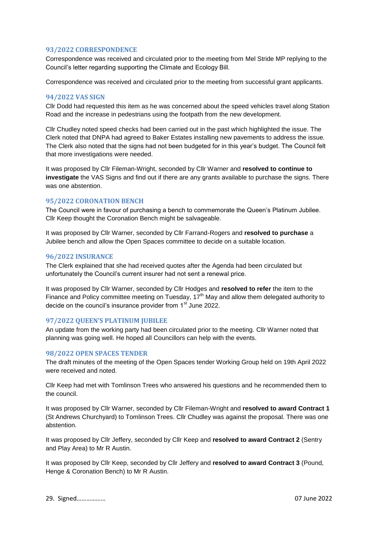#### **93/2022 CORRESPONDENCE**

Correspondence was received and circulated prior to the meeting from Mel Stride MP replying to the Council's letter regarding supporting the Climate and Ecology Bill.

Correspondence was received and circulated prior to the meeting from successful grant applicants.

#### **94/2022 VAS SIGN**

Cllr Dodd had requested this item as he was concerned about the speed vehicles travel along Station Road and the increase in pedestrians using the footpath from the new development.

Cllr Chudley noted speed checks had been carried out in the past which highlighted the issue. The Clerk noted that DNPA had agreed to Baker Estates installing new pavements to address the issue. The Clerk also noted that the signs had not been budgeted for in this year's budget. The Council felt that more investigations were needed.

It was proposed by Cllr Fileman-Wright, seconded by Cllr Warner and **resolved to continue to investigate** the VAS Signs and find out if there are any grants available to purchase the signs. There was one abstention.

#### **95/2022 CORONATION BENCH**

The Council were in favour of purchasing a bench to commemorate the Queen's Platinum Jubilee. Cllr Keep thought the Coronation Bench might be salvageable.

It was proposed by Cllr Warner, seconded by Cllr Farrand-Rogers and **resolved to purchase** a Jubilee bench and allow the Open Spaces committee to decide on a suitable location.

#### **96/2022 INSURANCE**

The Clerk explained that she had received quotes after the Agenda had been circulated but unfortunately the Council's current insurer had not sent a renewal price.

It was proposed by Cllr Warner, seconded by Cllr Hodges and **resolved to refer** the item to the Finance and Policy committee meeting on Tuesday,  $17<sup>th</sup>$  May and allow them delegated authority to decide on the council's insurance provider from 1<sup>st</sup> June 2022.

#### **97/2022 QUEEN'S PLATINUM JUBILEE**

An update from the working party had been circulated prior to the meeting. Cllr Warner noted that planning was going well. He hoped all Councillors can help with the events.

#### **98/2022 OPEN SPACES TENDER**

The draft minutes of the meeting of the Open Spaces tender Working Group held on 19th April 2022 were received and noted.

Cllr Keep had met with Tomlinson Trees who answered his questions and he recommended them to the council.

It was proposed by Cllr Warner, seconded by Cllr Fileman-Wright and **resolved to award Contract 1** (St Andrews Churchyard) to Tomlinson Trees. Cllr Chudley was against the proposal. There was one abstention.

It was proposed by Cllr Jeffery, seconded by Cllr Keep and **resolved to award Contract 2** (Sentry and Play Area) to Mr R Austin.

It was proposed by Cllr Keep, seconded by Cllr Jeffery and **resolved to award Contract 3** (Pound, Henge & Coronation Bench) to Mr R Austin.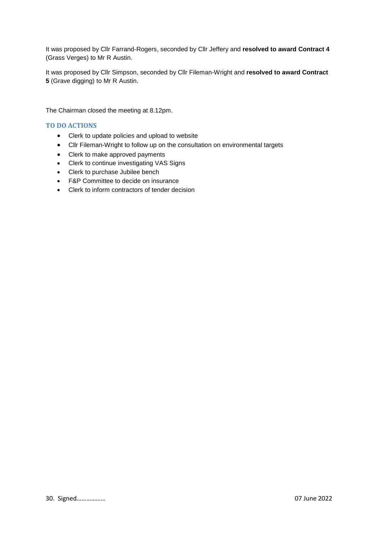It was proposed by Cllr Farrand-Rogers, seconded by Cllr Jeffery and **resolved to award Contract 4** (Grass Verges) to Mr R Austin.

It was proposed by Cllr Simpson, seconded by Cllr Fileman-Wright and **resolved to award Contract 5** (Grave digging) to Mr R Austin.

The Chairman closed the meeting at 8.12pm.

#### **TO DO ACTIONS**

- Clerk to update policies and upload to website
- Cllr Fileman-Wright to follow up on the consultation on environmental targets
- Clerk to make approved payments
- Clerk to continue investigating VAS Signs
- Clerk to purchase Jubilee bench
- F&P Committee to decide on insurance
- Clerk to inform contractors of tender decision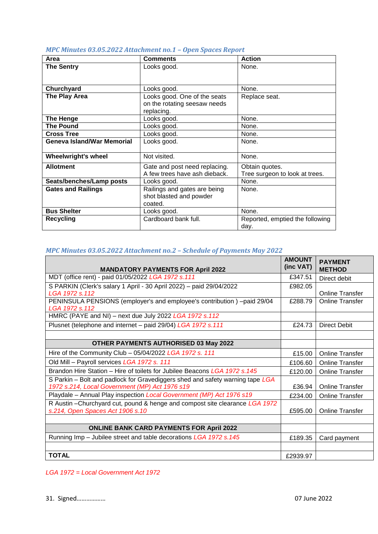|  |  | MPC Minutes 03.05.2022 Attachment no.1 - Open Spaces Report |  |  |
|--|--|-------------------------------------------------------------|--|--|
|--|--|-------------------------------------------------------------|--|--|

| Area                              | <b>Comments</b>               | <b>Action</b>                   |
|-----------------------------------|-------------------------------|---------------------------------|
| <b>The Sentry</b>                 | Looks good.                   | None.                           |
|                                   |                               |                                 |
|                                   |                               |                                 |
| Churchyard                        | Looks good.                   | None.                           |
| The Play Area                     | Looks good. One of the seats  | Replace seat.                   |
|                                   | on the rotating seesaw needs  |                                 |
|                                   | replacing.                    |                                 |
| <b>The Henge</b>                  | Looks good.                   | None.                           |
| <b>The Pound</b>                  | Looks good.                   | None.                           |
| <b>Cross Tree</b>                 | Looks good.                   | None.                           |
| <b>Geneva Island/War Memorial</b> | Looks good.                   | None.                           |
|                                   |                               |                                 |
| <b>Wheelwright's wheel</b>        | Not visited.                  | None.                           |
| <b>Allotment</b>                  | Gate and post need replacing. | Obtain quotes.                  |
|                                   | A few trees have ash dieback. | Tree surgeon to look at trees.  |
| Seats/benches/Lamp posts          | Looks good.                   | None.                           |
| <b>Gates and Railings</b>         | Railings and gates are being  | None.                           |
|                                   | shot blasted and powder       |                                 |
|                                   | coated.                       |                                 |
| <b>Bus Shelter</b>                | Looks good.                   | None.                           |
| <b>Recycling</b>                  | Cardboard bank full.          | Reported, emptied the following |
|                                   |                               | day.                            |

# *MPC Minutes 03.05.2022 Attachment no.2 – Schedule of Payments May 2022*

| <b>MANDATORY PAYMENTS FOR April 2022</b>                                                                                        | <b>AMUUNI</b><br>(inc VAT) | <b>PAYMENT</b><br><b>METHOD</b> |
|---------------------------------------------------------------------------------------------------------------------------------|----------------------------|---------------------------------|
| MDT (office rent) - paid 01/05/2022 LGA 1972 s.111                                                                              | £347.51                    | Direct debit                    |
| S PARKIN (Clerk's salary 1 April - 30 April 2022) - paid 29/04/2022                                                             | £982.05                    |                                 |
| LGA 1972 s.112                                                                                                                  | £288.79                    | <b>Online Transfer</b>          |
| PENINSULA PENSIONS (employer's and employee's contribution) -paid 29/04<br>LGA 1972 s.112                                       |                            | <b>Online Transfer</b>          |
| HMRC (PAYE and NI) - next due July 2022 LGA 1972 s.112                                                                          |                            |                                 |
| Plusnet (telephone and internet - paid 29/04) LGA 1972 s.111                                                                    | £24.73                     | <b>Direct Debit</b>             |
|                                                                                                                                 |                            |                                 |
| <b>OTHER PAYMENTS AUTHORISED 03 May 2022</b>                                                                                    |                            |                                 |
| Hire of the Community Club - 05/04/2022 LGA 1972 s. 111                                                                         | £15.00                     | <b>Online Transfer</b>          |
| Old Mill - Payroll services LGA 1972 s. 111                                                                                     | £106.60                    | <b>Online Transfer</b>          |
| Brandon Hire Station - Hire of toilets for Jubilee Beacons LGA 1972 s.145                                                       | £120.00                    | <b>Online Transfer</b>          |
| S Parkin – Bolt and padlock for Gravediggers shed and safety warning tape LGA<br>1972 s.214, Local Government (MP) Act 1976 s19 | £36.94                     | <b>Online Transfer</b>          |
| Playdale - Annual Play inspection Local Government (MP) Act 1976 s19                                                            | £234.00                    | <b>Online Transfer</b>          |
| R Austin - Churchyard cut, pound & henge and compost site clearance LGA 1972                                                    |                            |                                 |
| s.214, Open Spaces Act 1906 s.10                                                                                                | £595.00                    | <b>Online Transfer</b>          |
|                                                                                                                                 |                            |                                 |
| <b>ONLINE BANK CARD PAYMENTS FOR April 2022</b>                                                                                 |                            |                                 |
| Running Imp - Jubilee street and table decorations LGA 1972 s.145                                                               | £189.35                    | Card payment                    |
|                                                                                                                                 |                            |                                 |
| <b>TOTAL</b>                                                                                                                    | £2939.97                   |                                 |

*LGA 1972 = Local Government Act 1972*

**AMOUNT**